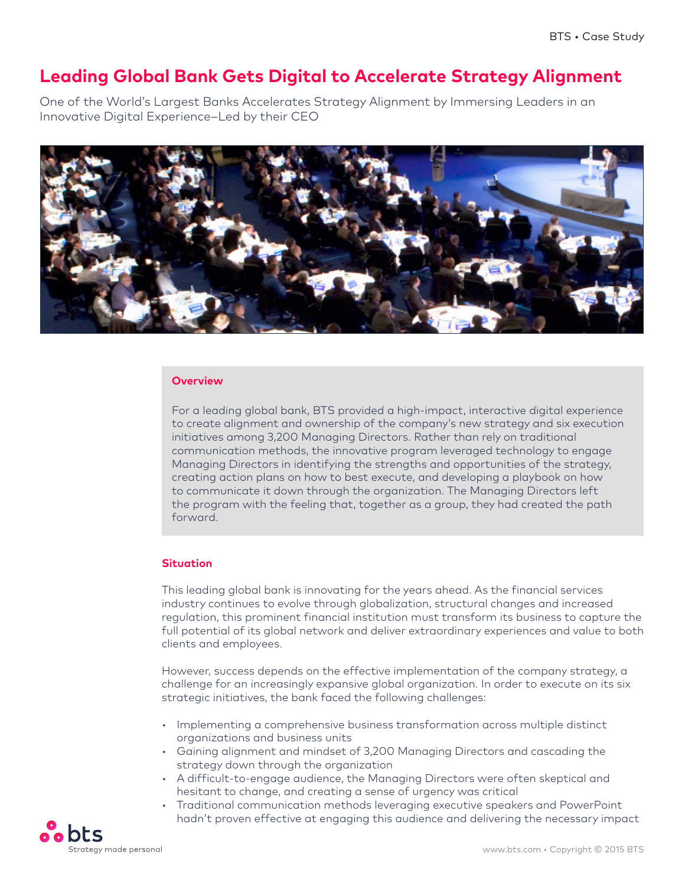# **Leading Global Bank Gets Digital to Accelerate Strategy Alignment**

One of the World's Largest Banks Accelerates Strategy Alignment by Immersing Leaders in an Innovative Digital Experience–Led by their CEO



### **Overview**

For a leading global bank, BTS provided a high-impact, interactive digital experience to create alignment and ownership of the company's new strategy and six execution initiatives among 3,200 Managing Directors. Rather than rely on traditional communication methods, the innovative program leveraged technology to engage Managing Directors in identifying the strengths and opportunities of the strategy, creating action plans on how to best execute, and developing a playbook on how to communicate it down through the organization. The Managing Directors left the program with the feeling that, together as a group, they had created the path forward.

#### **Situation**

This leading global bank is innovating for the years ahead. As the financial services industry continues to evolve through globalization, structural changes and increased regulation, this prominent financial institution must transform its business to capture the full potential of its global network and deliver extraordinary experiences and value to both clients and employees.

However, success depends on the effective implementation of the company strategy, a challenge for an increasingly expansive global organization. In order to execute on its six strategic initiatives, the bank faced the following challenges:

- Implementing a comprehensive business transformation across multiple distinct organizations and business units
- Gaining alignment and mindset of 3,200 Managing Directors and cascading the strategy down through the organization
- A difficult-to-engage audience, the Managing Directors were often skeptical and hesitant to change, and creating a sense of urgency was critical
- Traditional communication methods leveraging executive speakers and PowerPoint hadn't proven effective at engaging this audience and delivering the necessary impact

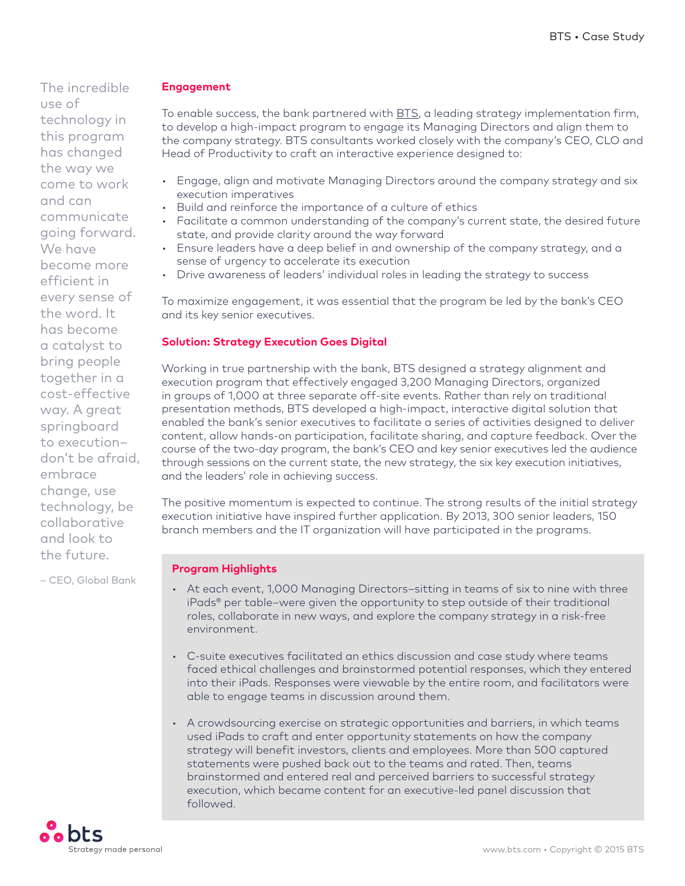The incredible use of technology in this program has changed the way we come to work and can communicate going forward. We have become more efficient in every sense of the word. It has become a catalyst to bring people together in a cost-effective way. A great springboard to execution– don't be afraid, embrace change, use technology, be collaborative and look to the future.

– CEO, Global Bank

### **Engagement**

To enable success, the bank partnered with **BTS**, a leading strategy implementation firm, to develop a high-impact program to engage its Managing Directors and align them to the company strategy. BTS consultants worked closely with the company's CEO, CLO and Head of Productivity to craft an interactive experience designed to:

- Engage, align and motivate Managing Directors around the company strategy and six execution imperatives
- Build and reinforce the importance of a culture of ethics
- Facilitate a common understanding of the company's current state, the desired future state, and provide clarity around the way forward
- Ensure leaders have a deep belief in and ownership of the company strategy, and a sense of urgency to accelerate its execution
- Drive awareness of leaders' individual roles in leading the strategy to success

To maximize engagement, it was essential that the program be led by the bank's CEO and its key senior executives.

# **Solution: Strategy Execution Goes Digital**

Working in true partnership with the bank, BTS designed a strategy alignment and execution program that effectively engaged 3,200 Managing Directors, organized in groups of 1,000 at three separate off-site events. Rather than rely on traditional presentation methods, BTS developed a high-impact, interactive digital solution that enabled the bank's senior executives to facilitate a series of activities designed to deliver content, allow hands-on participation, facilitate sharing, and capture feedback. Over the course of the two-day program, the bank's CEO and key senior executives led the audience through sessions on the current state, the new strategy, the six key execution initiatives, and the leaders' role in achieving success.

The positive momentum is expected to continue. The strong results of the initial strategy execution initiative have inspired further application. By 2013, 300 senior leaders, 150 branch members and the IT organization will have participated in the programs.

## **Program Highlights**

- At each event, 1,000 Managing Directors–sitting in teams of six to nine with three iPads® per table–were given the opportunity to step outside of their traditional roles, collaborate in new ways, and explore the company strategy in a risk-free environment.
- C-suite executives facilitated an ethics discussion and case study where teams faced ethical challenges and brainstormed potential responses, which they entered into their iPads. Responses were viewable by the entire room, and facilitators were able to engage teams in discussion around them.
- A crowdsourcing exercise on strategic opportunities and barriers, in which teams used iPads to craft and enter opportunity statements on how the company strategy will benefit investors, clients and employees. More than 500 captured statements were pushed back out to the teams and rated. Then, teams brainstormed and entered real and perceived barriers to successful strategy execution, which became content for an executive-led panel discussion that followed.

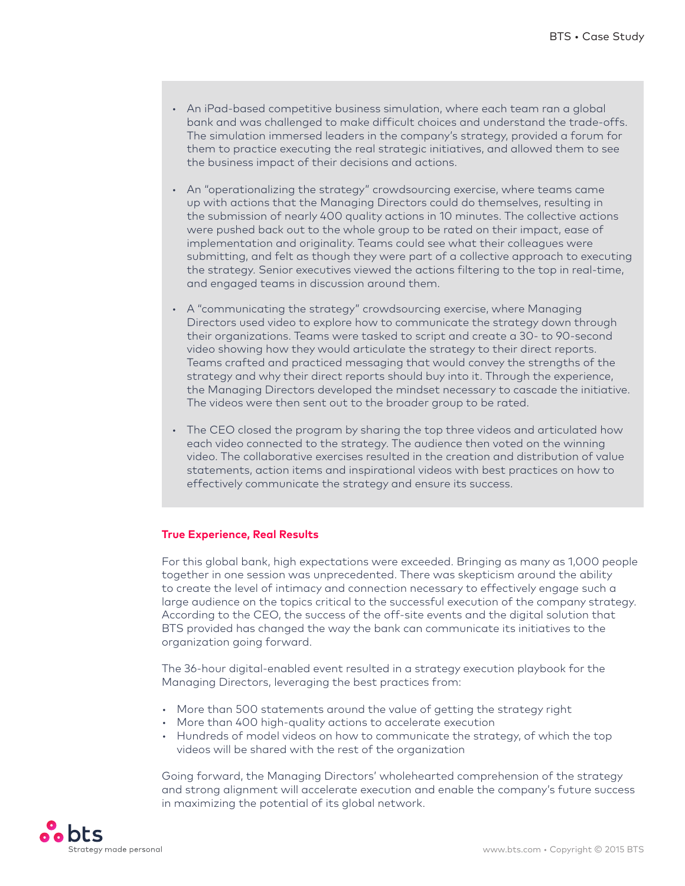- An iPad-based competitive business simulation, where each team ran a global bank and was challenged to make difficult choices and understand the trade-offs. The simulation immersed leaders in the company's strategy, provided a forum for them to practice executing the real strategic initiatives, and allowed them to see the business impact of their decisions and actions.
- An "operationalizing the strategy" crowdsourcing exercise, where teams came up with actions that the Managing Directors could do themselves, resulting in the submission of nearly 400 quality actions in 10 minutes. The collective actions were pushed back out to the whole group to be rated on their impact, ease of implementation and originality. Teams could see what their colleagues were submitting, and felt as though they were part of a collective approach to executing the strategy. Senior executives viewed the actions filtering to the top in real-time, and engaged teams in discussion around them.
- A "communicating the strategy" crowdsourcing exercise, where Managing Directors used video to explore how to communicate the strategy down through their organizations. Teams were tasked to script and create a 30- to 90-second video showing how they would articulate the strategy to their direct reports. Teams crafted and practiced messaging that would convey the strengths of the strategy and why their direct reports should buy into it. Through the experience, the Managing Directors developed the mindset necessary to cascade the initiative. The videos were then sent out to the broader group to be rated.
- The CEO closed the program by sharing the top three videos and articulated how each video connected to the strategy. The audience then voted on the winning video. The collaborative exercises resulted in the creation and distribution of value statements, action items and inspirational videos with best practices on how to effectively communicate the strategy and ensure its success.

### **True Experience, Real Results**

For this global bank, high expectations were exceeded. Bringing as many as 1,000 people together in one session was unprecedented. There was skepticism around the ability to create the level of intimacy and connection necessary to effectively engage such a large audience on the topics critical to the successful execution of the company strategy. According to the CEO, the success of the off-site events and the digital solution that BTS provided has changed the way the bank can communicate its initiatives to the organization going forward.

The 36-hour digital-enabled event resulted in a strategy execution playbook for the Managing Directors, leveraging the best practices from:

- More than 500 statements around the value of getting the strategy right
- More than 400 high-quality actions to accelerate execution
- Hundreds of model videos on how to communicate the strategy, of which the top videos will be shared with the rest of the organization

Going forward, the Managing Directors' wholehearted comprehension of the strategy and strong alignment will accelerate execution and enable the company's future success in maximizing the potential of its global network.